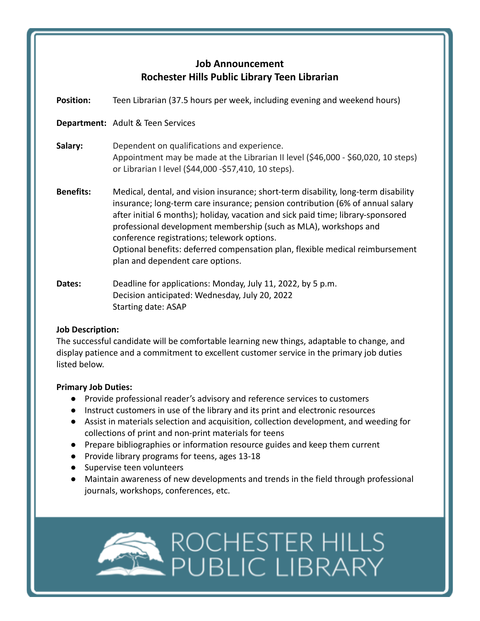# **Job Announcement Rochester Hills Public Library Teen Librarian**

| <b>Position:</b> | Teen Librarian (37.5 hours per week, including evening and weekend hours)                                                                                                                                                                                                                                                                                                                                                                                                                        |
|------------------|--------------------------------------------------------------------------------------------------------------------------------------------------------------------------------------------------------------------------------------------------------------------------------------------------------------------------------------------------------------------------------------------------------------------------------------------------------------------------------------------------|
|                  | <b>Department:</b> Adult & Teen Services                                                                                                                                                                                                                                                                                                                                                                                                                                                         |
| Salary:          | Dependent on qualifications and experience.<br>Appointment may be made at the Librarian II level (\$46,000 - \$60,020, 10 steps)<br>or Librarian I level (\$44,000 - \$57,410, 10 steps).                                                                                                                                                                                                                                                                                                        |
| <b>Benefits:</b> | Medical, dental, and vision insurance; short-term disability, long-term disability<br>insurance; long-term care insurance; pension contribution (6% of annual salary<br>after initial 6 months); holiday, vacation and sick paid time; library-sponsored<br>professional development membership (such as MLA), workshops and<br>conference registrations; telework options.<br>Optional benefits: deferred compensation plan, flexible medical reimbursement<br>plan and dependent care options. |
| Dates:           | Deadline for applications: Monday, July 11, 2022, by 5 p.m.<br>Decision anticipated: Wednesday, July 20, 2022<br><b>Starting date: ASAP</b>                                                                                                                                                                                                                                                                                                                                                      |

## **Job Description:**

The successful candidate will be comfortable learning new things, adaptable to change, and display patience and a commitment to excellent customer service in the primary job duties listed below.

## **Primary Job Duties:**

- Provide professional reader's advisory and reference services to customers
- Instruct customers in use of the library and its print and electronic resources
- Assist in materials selection and acquisition, collection development, and weeding for collections of print and non-print materials for teens
- Prepare bibliographies or information resource guides and keep them current
- Provide library programs for teens, ages 13-18
- Supervise teen volunteers
- Maintain awareness of new developments and trends in the field through professional journals, workshops, conferences, etc.

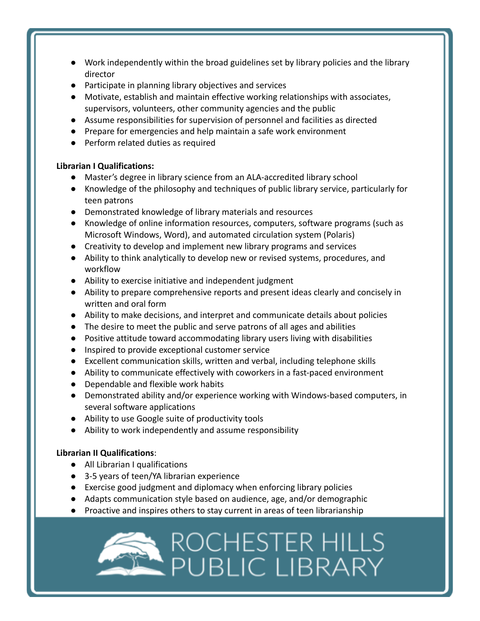- Work independently within the broad guidelines set by library policies and the library director
- Participate in planning library objectives and services
- Motivate, establish and maintain effective working relationships with associates, supervisors, volunteers, other community agencies and the public
- Assume responsibilities for supervision of personnel and facilities as directed
- Prepare for emergencies and help maintain a safe work environment
- Perform related duties as required

## **Librarian I Qualifications:**

- Master's degree in library science from an ALA-accredited library school
- Knowledge of the philosophy and techniques of public library service, particularly for teen patrons
- Demonstrated knowledge of library materials and resources
- Knowledge of online information resources, computers, software programs (such as Microsoft Windows, Word), and automated circulation system (Polaris)
- Creativity to develop and implement new library programs and services
- Ability to think analytically to develop new or revised systems, procedures, and workflow
- Ability to exercise initiative and independent judgment
- Ability to prepare comprehensive reports and present ideas clearly and concisely in written and oral form
- Ability to make decisions, and interpret and communicate details about policies
- The desire to meet the public and serve patrons of all ages and abilities
- Positive attitude toward accommodating library users living with disabilities
- Inspired to provide exceptional customer service
- Excellent communication skills, written and verbal, including telephone skills
- Ability to communicate effectively with coworkers in a fast-paced environment
- Dependable and flexible work habits
- Demonstrated ability and/or experience working with Windows-based computers, in several software applications
- Ability to use Google suite of productivity tools
- Ability to work independently and assume responsibility

## **Librarian II Qualifications**:

- All Librarian I qualifications
- 3-5 years of teen/YA librarian experience
- Exercise good judgment and diplomacy when enforcing library policies
- Adapts communication style based on audience, age, and/or demographic
- Proactive and inspires others to stay current in areas of teen librarianship

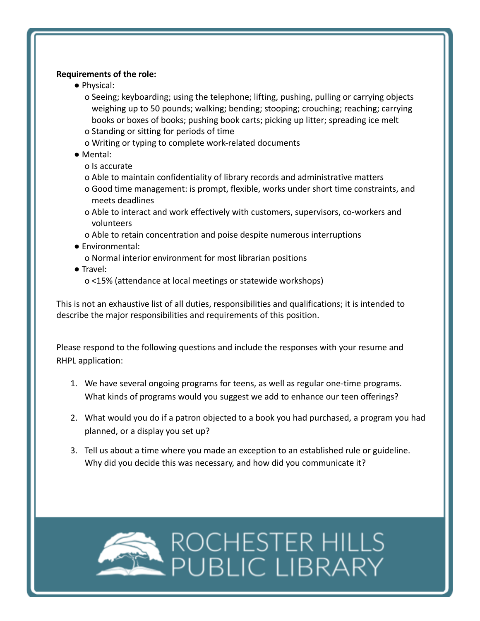### **Requirements of the role:**

- Physical:
	- o Seeing; keyboarding; using the telephone; lifting, pushing, pulling or carrying objects weighing up to 50 pounds; walking; bending; stooping; crouching; reaching; carrying books or boxes of books; pushing book carts; picking up litter; spreading ice melt o Standing or sitting for periods of time
	- o Writing or typing to complete work-related documents
- Mental:
	- o Is accurate
	- o Able to maintain confidentiality of library records and administrative matters
	- o Good time management: is prompt, flexible, works under short time constraints, and meets deadlines
	- o Able to interact and work effectively with customers, supervisors, co-workers and volunteers
	- o Able to retain concentration and poise despite numerous interruptions
- Environmental:
	- o Normal interior environment for most librarian positions
- Travel:
	- o <15% (attendance at local meetings or statewide workshops)

This is not an exhaustive list of all duties, responsibilities and qualifications; it is intended to describe the major responsibilities and requirements of this position.

Please respond to the following questions and include the responses with your resume and RHPL application:

- 1. We have several ongoing programs for teens, as well as regular one-time programs. What kinds of programs would you suggest we add to enhance our teen offerings?
- 2. What would you do if a patron objected to a book you had purchased, a program you had planned, or a display you set up?
- 3. Tell us about a time where you made an exception to an established rule or guideline. Why did you decide this was necessary, and how did you communicate it?